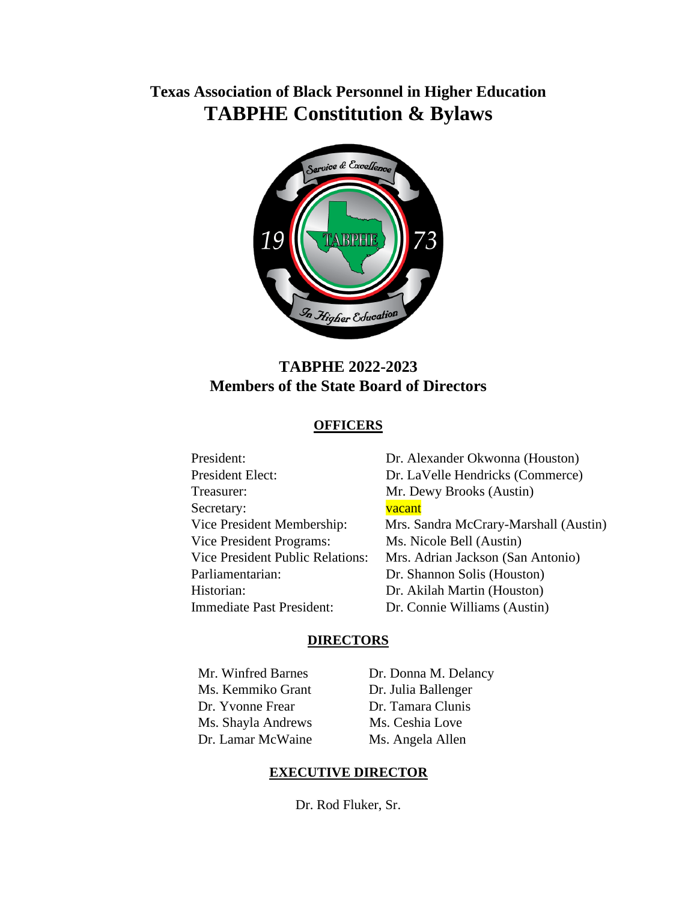# **Texas Association of Black Personnel in Higher Education TABPHE Constitution & Bylaws**



# **TABPHE 2022-2023 Members of the State Board of Directors**

# **OFFICERS**

| President:                              | Dr. Alexander Okwonna (Houston)       |
|-----------------------------------------|---------------------------------------|
| President Elect:                        | Dr. LaVelle Hendricks (Commerce)      |
| Treasurer:                              | Mr. Dewy Brooks (Austin)              |
| Secretary:                              | vacant                                |
| Vice President Membership:              | Mrs. Sandra McCrary-Marshall (Austin) |
| Vice President Programs:                | Ms. Nicole Bell (Austin)              |
| <b>Vice President Public Relations:</b> | Mrs. Adrian Jackson (San Antonio)     |
| Parliamentarian:                        | Dr. Shannon Solis (Houston)           |
| Historian:                              | Dr. Akilah Martin (Houston)           |
| Immediate Past President:               | Dr. Connie Williams (Austin)          |
|                                         |                                       |

#### **DIRECTORS**

 Mr. Winfred Barnes Ms. Kemmiko Grant Dr. Yvonne Frear Ms. Shayla Andrews Dr. Lamar McWaine

Dr. Donna M. Delancy Dr. Julia Ballenger Dr. Tamara Clunis Ms. Ceshia Love Ms. Angela Allen

# **EXECUTIVE DIRECTOR**

Dr. Rod Fluker, Sr.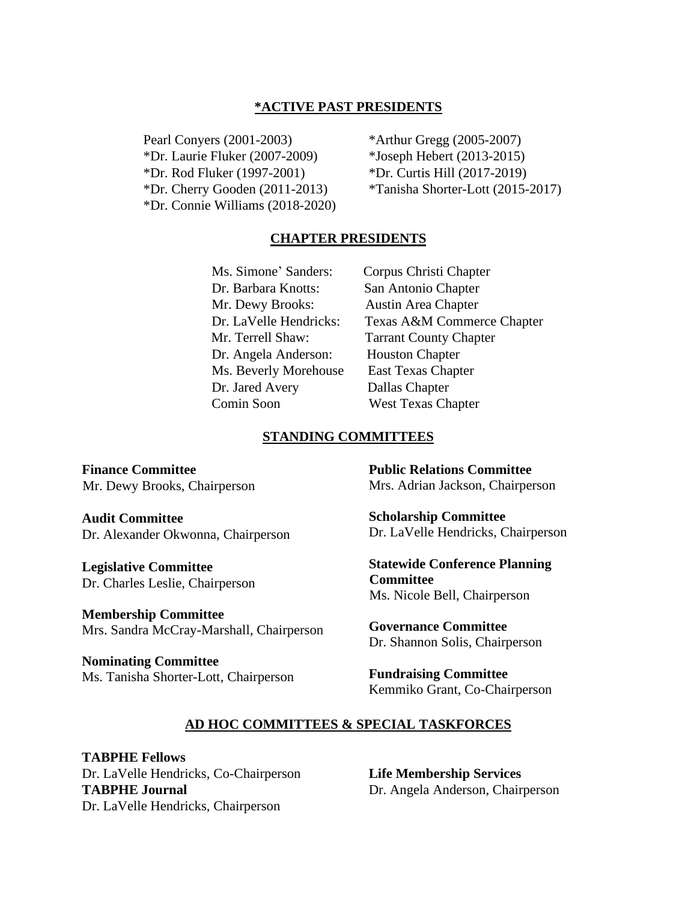#### **\*ACTIVE PAST PRESIDENTS**

 Pearl Conyers (2001-2003) \*Dr. Laurie Fluker (2007-2009) \*Dr. Rod Fluker (1997-2001) \*Dr. Cherry Gooden (2011-2013) \*Dr. Connie Williams (2018-2020) \*Arthur Gregg (2005-2007) \*Joseph Hebert (2013-2015) \*Dr. Curtis Hill (2017-2019) \*Tanisha Shorter-Lott (2015-2017)

#### **CHAPTER PRESIDENTS**

 Ms. Simone' Sanders: Corpus Christi Chapter Dr. Barbara Knotts: San Antonio Chapter Mr. Dewy Brooks: Austin Area Chapter Dr. Angela Anderson: Houston Chapter Ms. Beverly Morehouse East Texas Chapter Dr. Jared Avery Dallas Chapter Comin Soon West Texas Chapter

 Dr. LaVelle Hendricks: Texas A&M Commerce Chapter Mr. Terrell Shaw: Tarrant County Chapter

#### **STANDING COMMITTEES**

**Finance Committee** Mr. Dewy Brooks, Chairperson

**Audit Committee** Dr. Alexander Okwonna, Chairperson

**Legislative Committee** Dr. Charles Leslie, Chairperson

**Membership Committee** Mrs. Sandra McCray-Marshall, Chairperson

**Nominating Committee** Ms. Tanisha Shorter-Lott, Chairperson **Public Relations Committee** Mrs. Adrian Jackson, Chairperson

**Scholarship Committee** Dr. LaVelle Hendricks, Chairperson

**Statewide Conference Planning Committee** Ms. Nicole Bell, Chairperson

**Governance Committee** Dr. Shannon Solis, Chairperson

**Fundraising Committee** Kemmiko Grant, Co-Chairperson

#### **AD HOC COMMITTEES & SPECIAL TASKFORCES**

**TABPHE Fellows** Dr. LaVelle Hendricks, Co-Chairperson **TABPHE Journal** Dr. LaVelle Hendricks, Chairperson

**Life Membership Services** Dr. Angela Anderson, Chairperson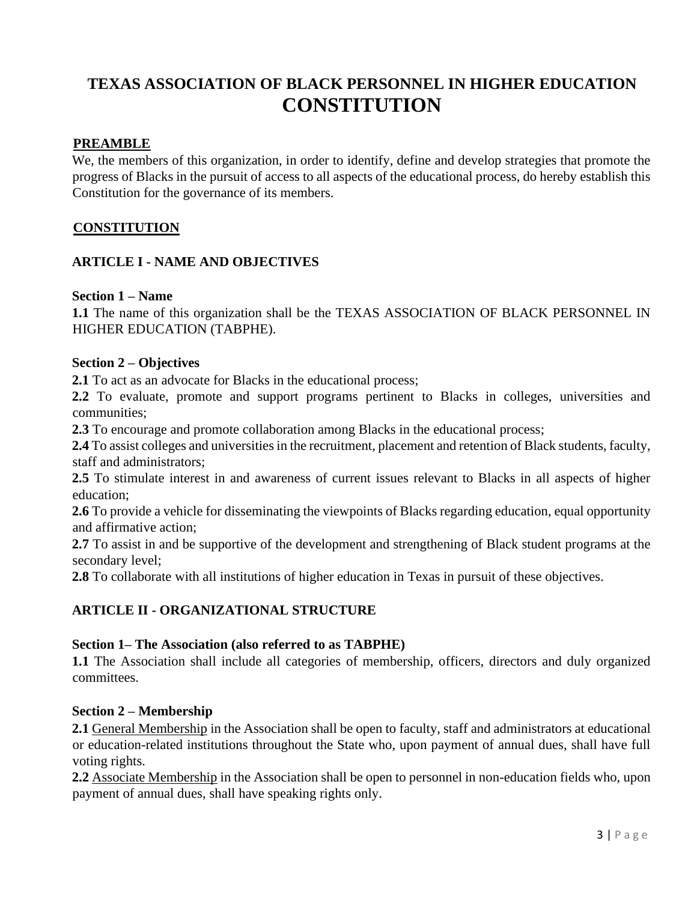# **TEXAS ASSOCIATION OF BLACK PERSONNEL IN HIGHER EDUCATION CONSTITUTION**

# **PREAMBLE**

We, the members of this organization, in order to identify, define and develop strategies that promote the progress of Blacks in the pursuit of access to all aspects of the educational process, do hereby establish this Constitution for the governance of its members.

# **CONSTITUTION**

# **ARTICLE I - NAME AND OBJECTIVES**

#### **Section 1 – Name**

**1.1** The name of this organization shall be the TEXAS ASSOCIATION OF BLACK PERSONNEL IN HIGHER EDUCATION (TABPHE).

#### **Section 2 – Objectives**

**2.1** To act as an advocate for Blacks in the educational process;

**2.2** To evaluate, promote and support programs pertinent to Blacks in colleges, universities and communities;

**2.3** To encourage and promote collaboration among Blacks in the educational process;

**2.4** To assist colleges and universities in the recruitment, placement and retention of Black students, faculty, staff and administrators;

**2.5** To stimulate interest in and awareness of current issues relevant to Blacks in all aspects of higher education;

**2.6** To provide a vehicle for disseminating the viewpoints of Blacks regarding education, equal opportunity and affirmative action;

**2.7** To assist in and be supportive of the development and strengthening of Black student programs at the secondary level;

**2.8** To collaborate with all institutions of higher education in Texas in pursuit of these objectives.

# **ARTICLE II - ORGANIZATIONAL STRUCTURE**

#### **Section 1– The Association (also referred to as TABPHE)**

**1.1** The Association shall include all categories of membership, officers, directors and duly organized committees.

# **Section 2 – Membership**

**2.1** General Membership in the Association shall be open to faculty, staff and administrators at educational or education-related institutions throughout the State who, upon payment of annual dues, shall have full voting rights.

**2.2** Associate Membership in the Association shall be open to personnel in non-education fields who, upon payment of annual dues, shall have speaking rights only.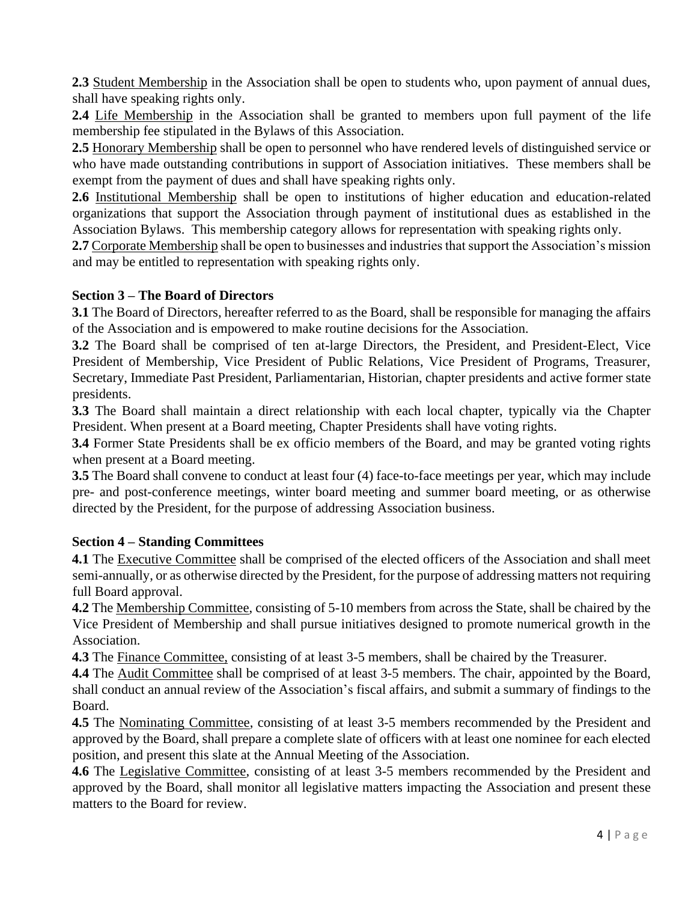**2.3** Student Membership in the Association shall be open to students who, upon payment of annual dues, shall have speaking rights only.

**2.4** Life Membership in the Association shall be granted to members upon full payment of the life membership fee stipulated in the Bylaws of this Association.

**2.5** Honorary Membership shall be open to personnel who have rendered levels of distinguished service or who have made outstanding contributions in support of Association initiatives. These members shall be exempt from the payment of dues and shall have speaking rights only.

**2.6** Institutional Membership shall be open to institutions of higher education and education-related organizations that support the Association through payment of institutional dues as established in the Association Bylaws. This membership category allows for representation with speaking rights only.

**2.7** Corporate Membership shall be open to businesses and industries that support the Association's mission and may be entitled to representation with speaking rights only.

# **Section 3 – The Board of Directors**

**3.1** The Board of Directors, hereafter referred to as the Board, shall be responsible for managing the affairs of the Association and is empowered to make routine decisions for the Association.

**3.2** The Board shall be comprised of ten at-large Directors, the President, and President-Elect, Vice President of Membership, Vice President of Public Relations, Vice President of Programs, Treasurer, Secretary, Immediate Past President, Parliamentarian, Historian, chapter presidents and active former state presidents.

**3.3** The Board shall maintain a direct relationship with each local chapter, typically via the Chapter President. When present at a Board meeting, Chapter Presidents shall have voting rights.

**3.4** Former State Presidents shall be ex officio members of the Board, and may be granted voting rights when present at a Board meeting.

**3.5** The Board shall convene to conduct at least four (4) face-to-face meetings per year, which may include pre- and post-conference meetings, winter board meeting and summer board meeting, or as otherwise directed by the President, for the purpose of addressing Association business.

# **Section 4 – Standing Committees**

**4.1** The Executive Committee shall be comprised of the elected officers of the Association and shall meet semi-annually, or as otherwise directed by the President, for the purpose of addressing matters not requiring full Board approval.

**4.2** The Membership Committee, consisting of 5-10 members from across the State, shall be chaired by the Vice President of Membership and shall pursue initiatives designed to promote numerical growth in the Association.

**4.3** The Finance Committee, consisting of at least 3-5 members, shall be chaired by the Treasurer.

4.4 The Audit Committee shall be comprised of at least 3-5 members. The chair, appointed by the Board, shall conduct an annual review of the Association's fiscal affairs, and submit a summary of findings to the Board.

**4.5** The Nominating Committee, consisting of at least 3-5 members recommended by the President and approved by the Board, shall prepare a complete slate of officers with at least one nominee for each elected position, and present this slate at the Annual Meeting of the Association.

**4.6** The Legislative Committee, consisting of at least 3-5 members recommended by the President and approved by the Board, shall monitor all legislative matters impacting the Association and present these matters to the Board for review.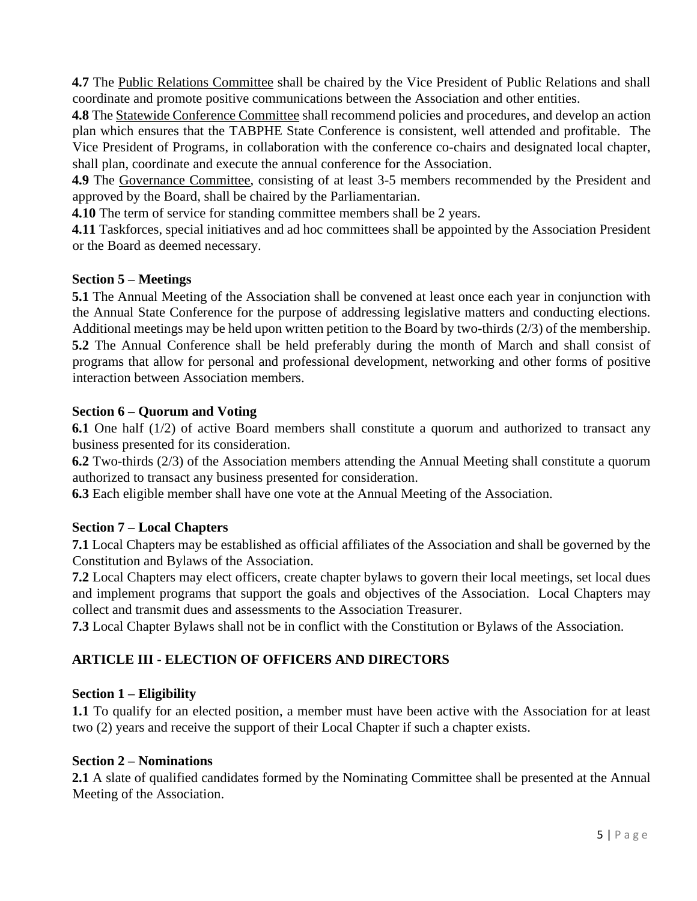**4.7** The Public Relations Committee shall be chaired by the Vice President of Public Relations and shall coordinate and promote positive communications between the Association and other entities.

**4.8** The Statewide Conference Committee shall recommend policies and procedures, and develop an action plan which ensures that the TABPHE State Conference is consistent, well attended and profitable. The Vice President of Programs, in collaboration with the conference co-chairs and designated local chapter, shall plan, coordinate and execute the annual conference for the Association.

**4.9** The Governance Committee, consisting of at least 3-5 members recommended by the President and approved by the Board, shall be chaired by the Parliamentarian.

**4.10** The term of service for standing committee members shall be 2 years.

**4.11** Taskforces, special initiatives and ad hoc committees shall be appointed by the Association President or the Board as deemed necessary.

# **Section 5 – Meetings**

**5.1** The Annual Meeting of the Association shall be convened at least once each year in conjunction with the Annual State Conference for the purpose of addressing legislative matters and conducting elections. Additional meetings may be held upon written petition to the Board by two-thirds (2/3) of the membership. **5.2** The Annual Conference shall be held preferably during the month of March and shall consist of programs that allow for personal and professional development, networking and other forms of positive interaction between Association members.

# **Section 6 – Quorum and Voting**

**6.1** One half (1/2) of active Board members shall constitute a quorum and authorized to transact any business presented for its consideration.

**6.2** Two-thirds (2/3) of the Association members attending the Annual Meeting shall constitute a quorum authorized to transact any business presented for consideration.

**6.3** Each eligible member shall have one vote at the Annual Meeting of the Association.

# **Section 7 – Local Chapters**

**7.1** Local Chapters may be established as official affiliates of the Association and shall be governed by the Constitution and Bylaws of the Association.

**7.2** Local Chapters may elect officers, create chapter bylaws to govern their local meetings, set local dues and implement programs that support the goals and objectives of the Association. Local Chapters may collect and transmit dues and assessments to the Association Treasurer.

**7.3** Local Chapter Bylaws shall not be in conflict with the Constitution or Bylaws of the Association.

# **ARTICLE III - ELECTION OF OFFICERS AND DIRECTORS**

# **Section 1 – Eligibility**

**1.1** To qualify for an elected position, a member must have been active with the Association for at least two (2) years and receive the support of their Local Chapter if such a chapter exists.

#### **Section 2 – Nominations**

**2.1** A slate of qualified candidates formed by the Nominating Committee shall be presented at the Annual Meeting of the Association.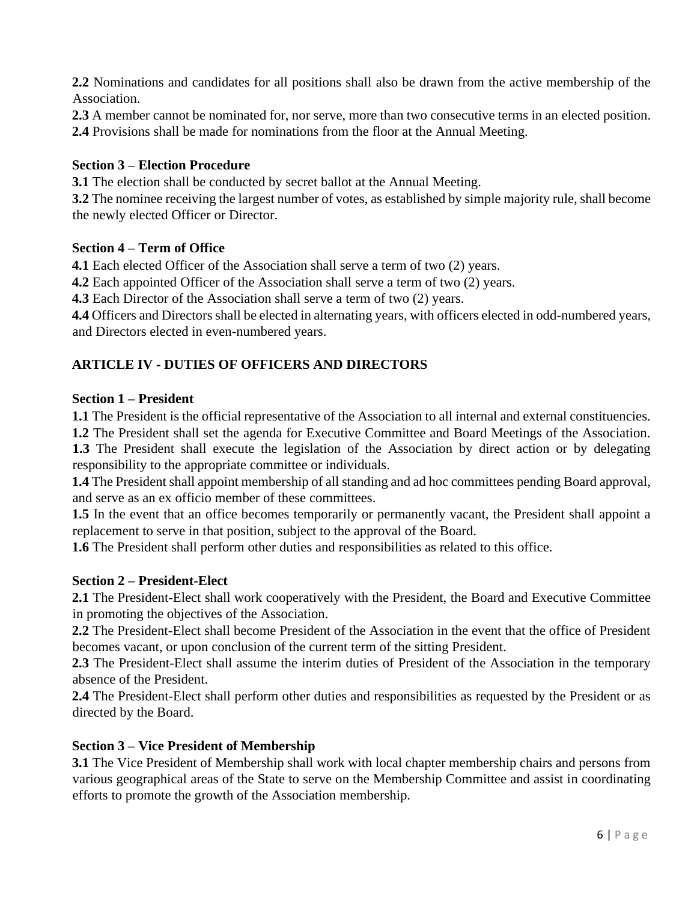**2.2** Nominations and candidates for all positions shall also be drawn from the active membership of the Association.

**2.3** A member cannot be nominated for, nor serve, more than two consecutive terms in an elected position.

**2.4** Provisions shall be made for nominations from the floor at the Annual Meeting.

# **Section 3 – Election Procedure**

**3.1** The election shall be conducted by secret ballot at the Annual Meeting.

**3.2** The nominee receiving the largest number of votes, as established by simple majority rule, shall become the newly elected Officer or Director.

# **Section 4 – Term of Office**

**4.1** Each elected Officer of the Association shall serve a term of two (2) years.

**4.2** Each appointed Officer of the Association shall serve a term of two (2) years.

**4.3** Each Director of the Association shall serve a term of two (2) years.

**4.4** Officers and Directors shall be elected in alternating years, with officers elected in odd-numbered years, and Directors elected in even-numbered years.

# **ARTICLE IV - DUTIES OF OFFICERS AND DIRECTORS**

# **Section 1 – President**

**1.1** The President is the official representative of the Association to all internal and external constituencies.

**1.2** The President shall set the agenda for Executive Committee and Board Meetings of the Association. **1.3** The President shall execute the legislation of the Association by direct action or by delegating responsibility to the appropriate committee or individuals.

**1.4** The President shall appoint membership of all standing and ad hoc committees pending Board approval, and serve as an ex officio member of these committees.

**1.5** In the event that an office becomes temporarily or permanently vacant, the President shall appoint a replacement to serve in that position, subject to the approval of the Board.

**1.6** The President shall perform other duties and responsibilities as related to this office.

# **Section 2 – President-Elect**

**2.1** The President-Elect shall work cooperatively with the President, the Board and Executive Committee in promoting the objectives of the Association.

**2.2** The President-Elect shall become President of the Association in the event that the office of President becomes vacant, or upon conclusion of the current term of the sitting President.

**2.3** The President-Elect shall assume the interim duties of President of the Association in the temporary absence of the President.

**2.4** The President-Elect shall perform other duties and responsibilities as requested by the President or as directed by the Board.

# **Section 3 – Vice President of Membership**

**3.1** The Vice President of Membership shall work with local chapter membership chairs and persons from various geographical areas of the State to serve on the Membership Committee and assist in coordinating efforts to promote the growth of the Association membership.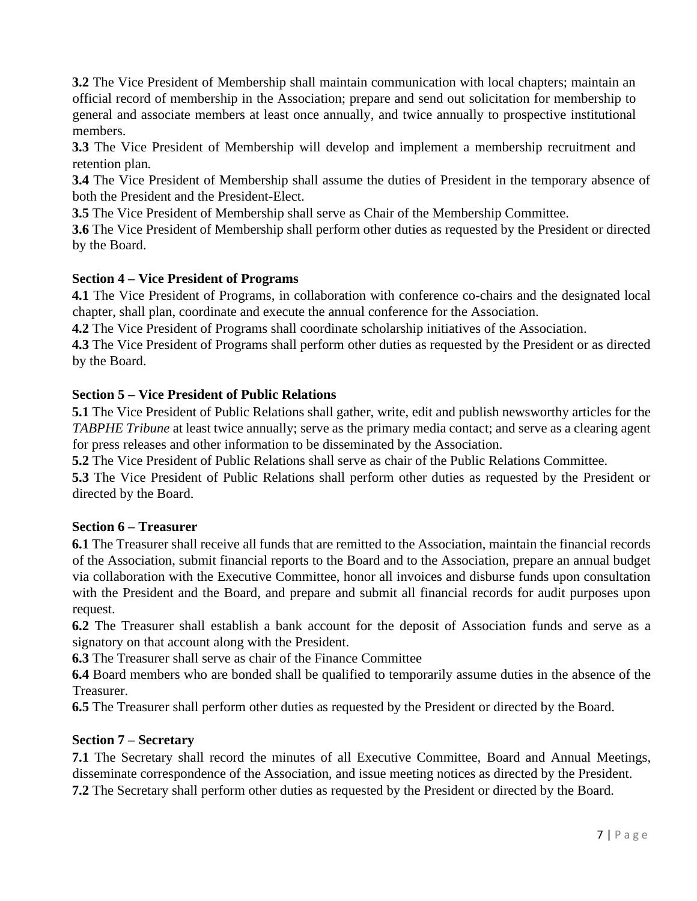**3.2** The Vice President of Membership shall maintain communication with local chapters; maintain an official record of membership in the Association; prepare and send out solicitation for membership to general and associate members at least once annually, and twice annually to prospective institutional members.

**3.3** The Vice President of Membership will develop and implement a membership recruitment and retention plan*.* 

**3.4** The Vice President of Membership shall assume the duties of President in the temporary absence of both the President and the President-Elect.

**3.5** The Vice President of Membership shall serve as Chair of the Membership Committee.

**3.6** The Vice President of Membership shall perform other duties as requested by the President or directed by the Board.

# **Section 4 – Vice President of Programs**

**4.1** The Vice President of Programs, in collaboration with conference co-chairs and the designated local chapter, shall plan, coordinate and execute the annual conference for the Association.

**4.2** The Vice President of Programs shall coordinate scholarship initiatives of the Association.

**4.3** The Vice President of Programs shall perform other duties as requested by the President or as directed by the Board.

# **Section 5 – Vice President of Public Relations**

**5.1** The Vice President of Public Relations shall gather, write, edit and publish newsworthy articles for the *TABPHE Tribune* at least twice annually; serve as the primary media contact; and serve as a clearing agent for press releases and other information to be disseminated by the Association.

**5.2** The Vice President of Public Relations shall serve as chair of the Public Relations Committee.

**5.3** The Vice President of Public Relations shall perform other duties as requested by the President or directed by the Board.

# **Section 6 – Treasurer**

**6.1** The Treasurer shall receive all funds that are remitted to the Association, maintain the financial records of the Association, submit financial reports to the Board and to the Association, prepare an annual budget via collaboration with the Executive Committee, honor all invoices and disburse funds upon consultation with the President and the Board, and prepare and submit all financial records for audit purposes upon request.

**6.2** The Treasurer shall establish a bank account for the deposit of Association funds and serve as a signatory on that account along with the President.

**6.3** The Treasurer shall serve as chair of the Finance Committee

**6.4** Board members who are bonded shall be qualified to temporarily assume duties in the absence of the Treasurer.

**6.5** The Treasurer shall perform other duties as requested by the President or directed by the Board.

# **Section 7 – Secretary**

**7.1** The Secretary shall record the minutes of all Executive Committee, Board and Annual Meetings, disseminate correspondence of the Association, and issue meeting notices as directed by the President. **7.2** The Secretary shall perform other duties as requested by the President or directed by the Board.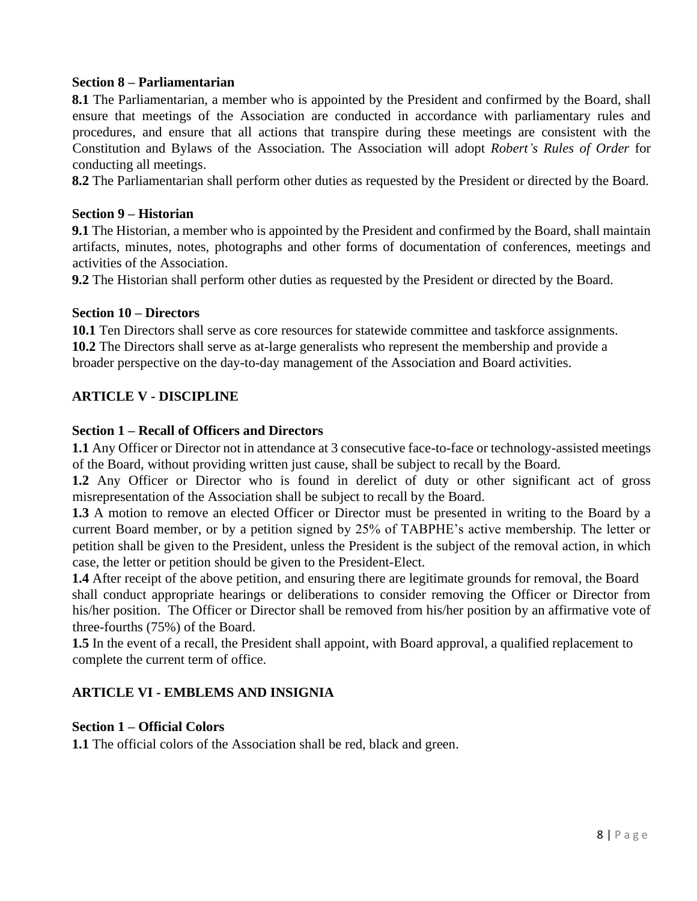#### **Section 8 – Parliamentarian**

**8.1** The Parliamentarian, a member who is appointed by the President and confirmed by the Board, shall ensure that meetings of the Association are conducted in accordance with parliamentary rules and procedures, and ensure that all actions that transpire during these meetings are consistent with the Constitution and Bylaws of the Association. The Association will adopt *Robert's Rules of Order* for conducting all meetings.

**8.2** The Parliamentarian shall perform other duties as requested by the President or directed by the Board.

#### **Section 9 – Historian**

**9.1** The Historian, a member who is appointed by the President and confirmed by the Board, shall maintain artifacts, minutes, notes, photographs and other forms of documentation of conferences, meetings and activities of the Association.

**9.2** The Historian shall perform other duties as requested by the President or directed by the Board.

#### **Section 10 – Directors**

**10.1** Ten Directors shall serve as core resources for statewide committee and taskforce assignments. **10.2** The Directors shall serve as at-large generalists who represent the membership and provide a broader perspective on the day-to-day management of the Association and Board activities.

#### **ARTICLE V - DISCIPLINE**

#### **Section 1 – Recall of Officers and Directors**

**1.1** Any Officer or Director not in attendance at 3 consecutive face-to-face or technology-assisted meetings of the Board, without providing written just cause, shall be subject to recall by the Board.

**1.2** Any Officer or Director who is found in derelict of duty or other significant act of gross misrepresentation of the Association shall be subject to recall by the Board.

**1.3** A motion to remove an elected Officer or Director must be presented in writing to the Board by a current Board member, or by a petition signed by 25% of TABPHE's active membership. The letter or petition shall be given to the President, unless the President is the subject of the removal action, in which case, the letter or petition should be given to the President-Elect.

**1.4** After receipt of the above petition, and ensuring there are legitimate grounds for removal, the Board shall conduct appropriate hearings or deliberations to consider removing the Officer or Director from his/her position. The Officer or Director shall be removed from his/her position by an affirmative vote of three-fourths (75%) of the Board.

**1.5** In the event of a recall, the President shall appoint, with Board approval, a qualified replacement to complete the current term of office.

#### **ARTICLE VI - EMBLEMS AND INSIGNIA**

#### **Section 1 – Official Colors**

**1.1** The official colors of the Association shall be red, black and green.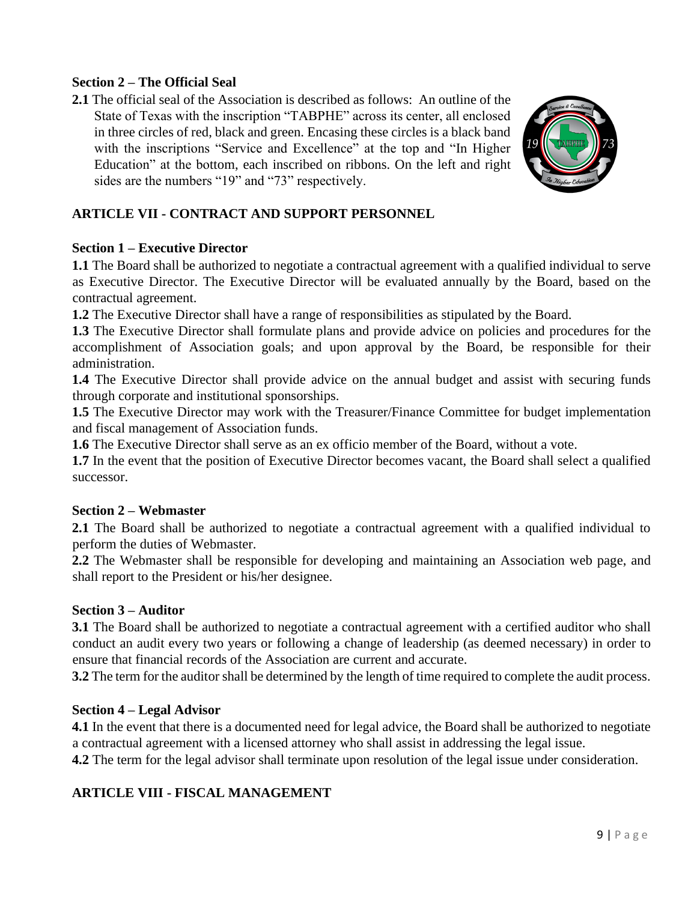#### **Section 2 – The Official Seal**

**2.1** The official seal of the Association is described as follows: An outline of the State of Texas with the inscription "TABPHE" across its center, all enclosed in three circles of red, black and green. Encasing these circles is a black band with the inscriptions "Service and Excellence" at the top and "In Higher Education" at the bottom, each inscribed on ribbons. On the left and right sides are the numbers "19" and "73" respectively.



# **ARTICLE VII - CONTRACT AND SUPPORT PERSONNEL**

#### **Section 1 – Executive Director**

**1.1** The Board shall be authorized to negotiate a contractual agreement with a qualified individual to serve as Executive Director. The Executive Director will be evaluated annually by the Board, based on the contractual agreement.

**1.2** The Executive Director shall have a range of responsibilities as stipulated by the Board.

**1.3** The Executive Director shall formulate plans and provide advice on policies and procedures for the accomplishment of Association goals; and upon approval by the Board, be responsible for their administration.

**1.4** The Executive Director shall provide advice on the annual budget and assist with securing funds through corporate and institutional sponsorships.

**1.5** The Executive Director may work with the Treasurer/Finance Committee for budget implementation and fiscal management of Association funds.

**1.6** The Executive Director shall serve as an ex officio member of the Board, without a vote.

**1.7** In the event that the position of Executive Director becomes vacant, the Board shall select a qualified successor.

#### **Section 2 – Webmaster**

**2.1** The Board shall be authorized to negotiate a contractual agreement with a qualified individual to perform the duties of Webmaster.

**2.2** The Webmaster shall be responsible for developing and maintaining an Association web page, and shall report to the President or his/her designee.

# **Section 3 – Auditor**

**3.1** The Board shall be authorized to negotiate a contractual agreement with a certified auditor who shall conduct an audit every two years or following a change of leadership (as deemed necessary) in order to ensure that financial records of the Association are current and accurate.

**3.2** The term for the auditor shall be determined by the length of time required to complete the audit process.

# **Section 4 – Legal Advisor**

**4.1** In the event that there is a documented need for legal advice, the Board shall be authorized to negotiate a contractual agreement with a licensed attorney who shall assist in addressing the legal issue.

**4.2** The term for the legal advisor shall terminate upon resolution of the legal issue under consideration.

# **ARTICLE VIII - FISCAL MANAGEMENT**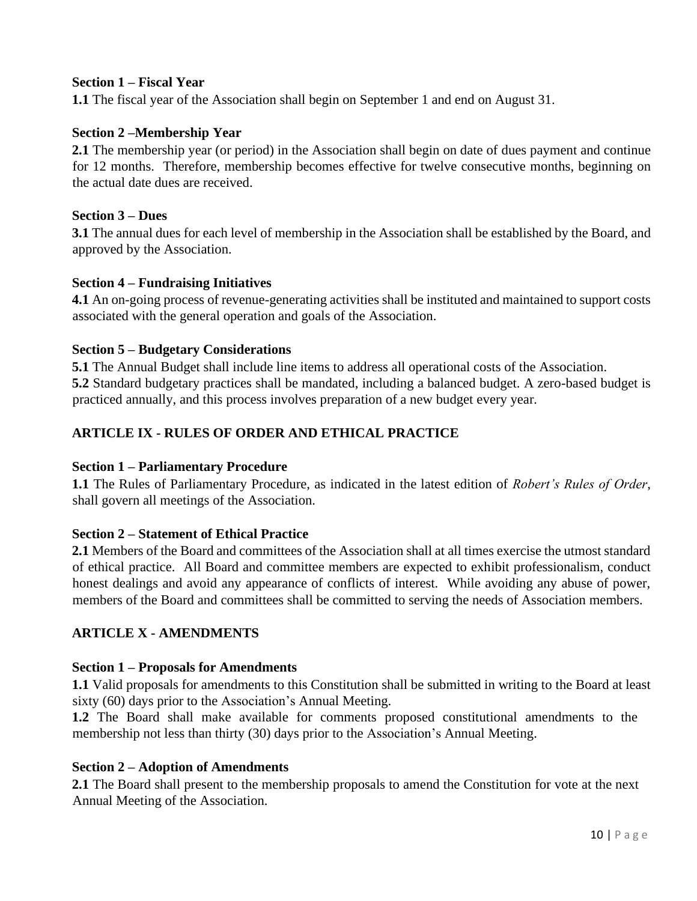#### **Section 1 – Fiscal Year**

**1.1** The fiscal year of the Association shall begin on September 1 and end on August 31.

#### **Section 2 –Membership Year**

**2.1** The membership year (or period) in the Association shall begin on date of dues payment and continue for 12 months. Therefore, membership becomes effective for twelve consecutive months, beginning on the actual date dues are received.

#### **Section 3 – Dues**

**3.1** The annual dues for each level of membership in the Association shall be established by the Board, and approved by the Association.

#### **Section 4 – Fundraising Initiatives**

**4.1** An on-going process of revenue-generating activities shall be instituted and maintained to support costs associated with the general operation and goals of the Association.

#### **Section 5 – Budgetary Considerations**

**5.1** The Annual Budget shall include line items to address all operational costs of the Association. **5.2** Standard budgetary practices shall be mandated, including a balanced budget. A zero-based budget is practiced annually, and this process involves preparation of a new budget every year*.*

# **ARTICLE IX - RULES OF ORDER AND ETHICAL PRACTICE**

#### **Section 1 – Parliamentary Procedure**

**1.1** The Rules of Parliamentary Procedure, as indicated in the latest edition of *Robert's Rules of Order*, shall govern all meetings of the Association.

#### **Section 2 – Statement of Ethical Practice**

**2.1** Members of the Board and committees of the Association shall at all times exercise the utmost standard of ethical practice. All Board and committee members are expected to exhibit professionalism, conduct honest dealings and avoid any appearance of conflicts of interest. While avoiding any abuse of power, members of the Board and committees shall be committed to serving the needs of Association members.

# **ARTICLE X - AMENDMENTS**

#### **Section 1 – Proposals for Amendments**

**1.1** Valid proposals for amendments to this Constitution shall be submitted in writing to the Board at least sixty (60) days prior to the Association's Annual Meeting.

**1.2** The Board shall make available for comments proposed constitutional amendments to the membership not less than thirty (30) days prior to the Association's Annual Meeting.

#### **Section 2 – Adoption of Amendments**

**2.1** The Board shall present to the membership proposals to amend the Constitution for vote at the next Annual Meeting of the Association.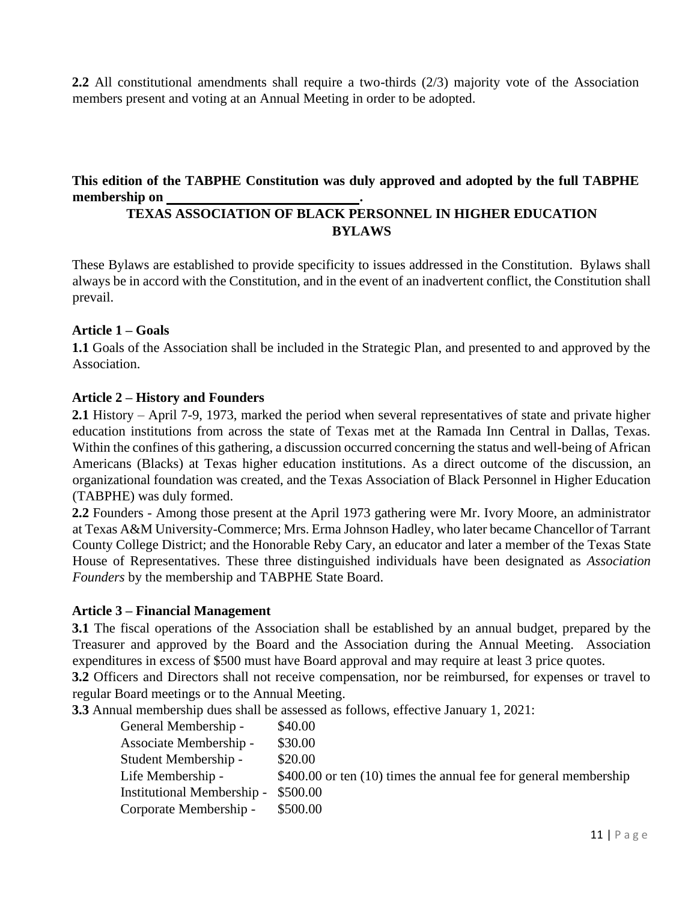**2.2** All constitutional amendments shall require a two-thirds (2/3) majority vote of the Association members present and voting at an Annual Meeting in order to be adopted.

# **This edition of the TABPHE Constitution was duly approved and adopted by the full TABPHE membership on .**

# **TEXAS ASSOCIATION OF BLACK PERSONNEL IN HIGHER EDUCATION BYLAWS**

These Bylaws are established to provide specificity to issues addressed in the Constitution. Bylaws shall always be in accord with the Constitution, and in the event of an inadvertent conflict, the Constitution shall prevail.

#### **Article 1 – Goals**

**1.1** Goals of the Association shall be included in the Strategic Plan, and presented to and approved by the Association.

#### **Article 2 – History and Founders**

**2.1** History – April 7-9, 1973, marked the period when several representatives of state and private higher education institutions from across the state of Texas met at the Ramada Inn Central in Dallas, Texas. Within the confines of this gathering, a discussion occurred concerning the status and well-being of African Americans (Blacks) at Texas higher education institutions. As a direct outcome of the discussion, an organizational foundation was created, and the Texas Association of Black Personnel in Higher Education (TABPHE) was duly formed.

**2.2** Founders - Among those present at the April 1973 gathering were Mr. Ivory Moore, an administrator at Texas A&M University-Commerce; Mrs. Erma Johnson Hadley, who later became Chancellor of Tarrant County College District; and the Honorable Reby Cary, an educator and later a member of the Texas State House of Representatives. These three distinguished individuals have been designated as *Association Founders* by the membership and TABPHE State Board.

#### **Article 3 – Financial Management**

**3.1** The fiscal operations of the Association shall be established by an annual budget, prepared by the Treasurer and approved by the Board and the Association during the Annual Meeting. Association expenditures in excess of \$500 must have Board approval and may require at least 3 price quotes.

**3.2** Officers and Directors shall not receive compensation, nor be reimbursed, for expenses or travel to regular Board meetings or to the Annual Meeting.

**3.3** Annual membership dues shall be assessed as follows, effective January 1, 2021:

| General Membership -       | \$40.00                                                             |
|----------------------------|---------------------------------------------------------------------|
| Associate Membership -     | \$30.00                                                             |
| Student Membership -       | \$20.00                                                             |
| Life Membership -          | $$400.00$ or ten $(10)$ times the annual fee for general membership |
| Institutional Membership - | \$500.00                                                            |
| Corporate Membership -     | \$500.00                                                            |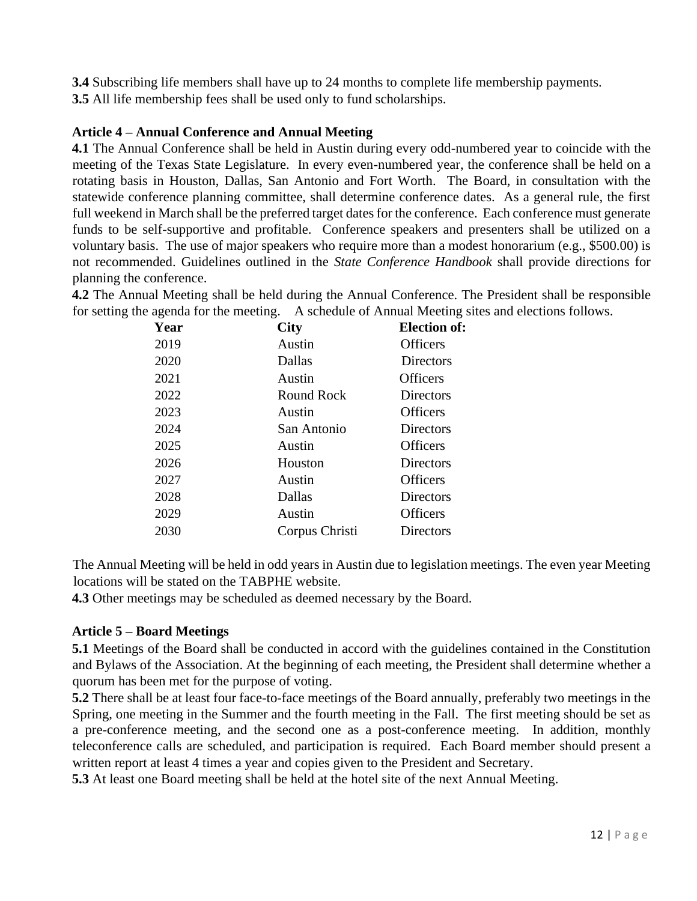**3.4** Subscribing life members shall have up to 24 months to complete life membership payments.

**3.5** All life membership fees shall be used only to fund scholarships.

# **Article 4 – Annual Conference and Annual Meeting**

**4.1** The Annual Conference shall be held in Austin during every odd-numbered year to coincide with the meeting of the Texas State Legislature. In every even-numbered year, the conference shall be held on a rotating basis in Houston, Dallas, San Antonio and Fort Worth. The Board, in consultation with the statewide conference planning committee, shall determine conference dates. As a general rule, the first full weekend in March shall be the preferred target dates for the conference. Each conference must generate funds to be self-supportive and profitable. Conference speakers and presenters shall be utilized on a voluntary basis. The use of major speakers who require more than a modest honorarium (e.g., \$500.00) is not recommended. Guidelines outlined in the *State Conference Handbook* shall provide directions for planning the conference.

**4.2** The Annual Meeting shall be held during the Annual Conference. The President shall be responsible for setting the agenda for the meeting. A schedule of Annual Meeting sites and elections follows.

| Year | <b>City</b>       | <b>Election of:</b> |
|------|-------------------|---------------------|
| 2019 | Austin            | Officers            |
| 2020 | Dallas            | Directors           |
| 2021 | Austin            | <b>Officers</b>     |
| 2022 | <b>Round Rock</b> | Directors           |
| 2023 | Austin            | Officers            |
| 2024 | San Antonio       | Directors           |
| 2025 | Austin            | <b>Officers</b>     |
| 2026 | Houston           | Directors           |
| 2027 | Austin            | <b>Officers</b>     |
| 2028 | Dallas            | Directors           |
| 2029 | Austin            | <b>Officers</b>     |
| 2030 | Corpus Christi    | Directors           |

The Annual Meeting will be held in odd years in Austin due to legislation meetings. The even year Meeting locations will be stated on the TABPHE website.

**4.3** Other meetings may be scheduled as deemed necessary by the Board.

# **Article 5 – Board Meetings**

**5.1** Meetings of the Board shall be conducted in accord with the guidelines contained in the Constitution and Bylaws of the Association. At the beginning of each meeting, the President shall determine whether a quorum has been met for the purpose of voting.

**5.2** There shall be at least four face-to-face meetings of the Board annually, preferably two meetings in the Spring, one meeting in the Summer and the fourth meeting in the Fall. The first meeting should be set as a pre-conference meeting, and the second one as a post-conference meeting. In addition, monthly teleconference calls are scheduled, and participation is required. Each Board member should present a written report at least 4 times a year and copies given to the President and Secretary.

**5.3** At least one Board meeting shall be held at the hotel site of the next Annual Meeting.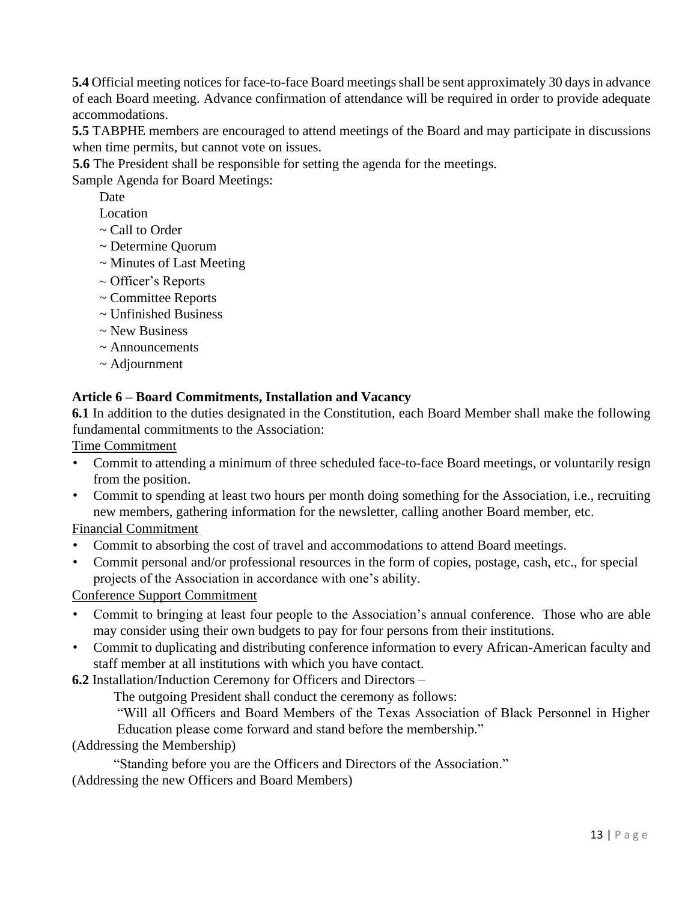**5.4** Official meeting notices for face-to-face Board meetings shall be sent approximately 30 days in advance of each Board meeting. Advance confirmation of attendance will be required in order to provide adequate accommodations.

**5.5** TABPHE members are encouraged to attend meetings of the Board and may participate in discussions when time permits, but cannot vote on issues.

**5.6** The President shall be responsible for setting the agenda for the meetings.

Sample Agenda for Board Meetings:

Date

Location

- ~ Call to Order
- ~ Determine Quorum
- ~ Minutes of Last Meeting
- ~ Officer's Reports
- ~ Committee Reports
- ~ Unfinished Business
- ~ New Business
- ~ Announcements
- ~ Adjournment

# **Article 6 – Board Commitments, Installation and Vacancy**

**6.1** In addition to the duties designated in the Constitution, each Board Member shall make the following fundamental commitments to the Association:

Time Commitment

- Commit to attending a minimum of three scheduled face-to-face Board meetings, or voluntarily resign from the position.
- Commit to spending at least two hours per month doing something for the Association, i.e., recruiting new members, gathering information for the newsletter, calling another Board member, etc.

Financial Commitment

- Commit to absorbing the cost of travel and accommodations to attend Board meetings.
- Commit personal and/or professional resources in the form of copies, postage, cash, etc., for special projects of the Association in accordance with one's ability.

Conference Support Commitment

- Commit to bringing at least four people to the Association's annual conference. Those who are able may consider using their own budgets to pay for four persons from their institutions.
- Commit to duplicating and distributing conference information to every African-American faculty and staff member at all institutions with which you have contact.

**6.2** Installation/Induction Ceremony for Officers and Directors –

The outgoing President shall conduct the ceremony as follows:

"Will all Officers and Board Members of the Texas Association of Black Personnel in Higher Education please come forward and stand before the membership."

(Addressing the Membership)

"Standing before you are the Officers and Directors of the Association."

(Addressing the new Officers and Board Members)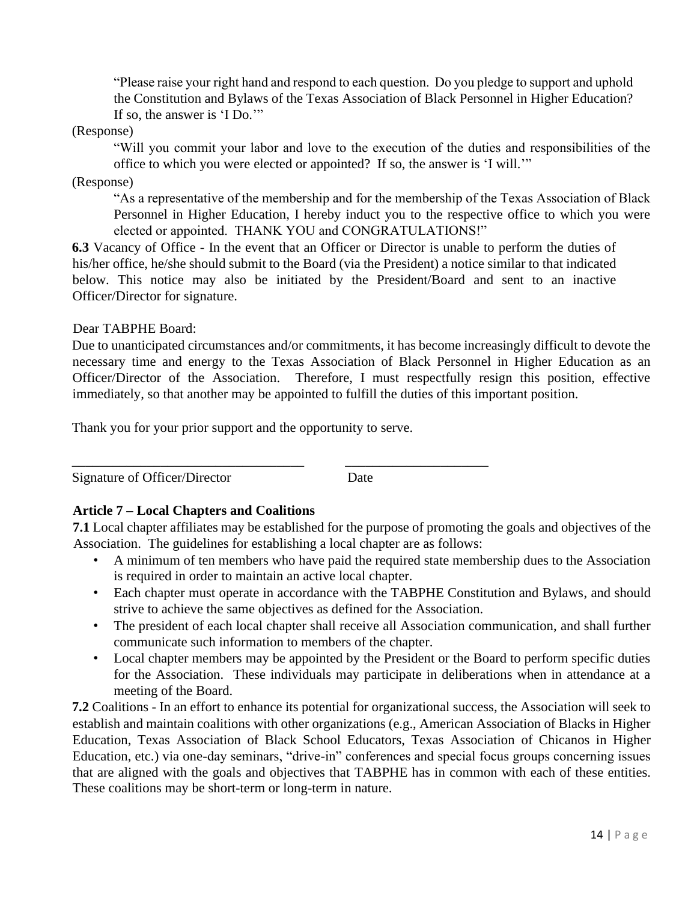"Please raise your right hand and respond to each question. Do you pledge to support and uphold the Constitution and Bylaws of the Texas Association of Black Personnel in Higher Education? If so, the answer is 'I Do.'"

#### (Response)

"Will you commit your labor and love to the execution of the duties and responsibilities of the office to which you were elected or appointed? If so, the answer is 'I will.'"

#### (Response)

"As a representative of the membership and for the membership of the Texas Association of Black Personnel in Higher Education, I hereby induct you to the respective office to which you were elected or appointed. THANK YOU and CONGRATULATIONS!"

**6.3** Vacancy of Office - In the event that an Officer or Director is unable to perform the duties of his/her office, he/she should submit to the Board (via the President) a notice similar to that indicated below. This notice may also be initiated by the President/Board and sent to an inactive Officer/Director for signature.

#### Dear TABPHE Board:

Due to unanticipated circumstances and/or commitments, it has become increasingly difficult to devote the necessary time and energy to the Texas Association of Black Personnel in Higher Education as an Officer/Director of the Association. Therefore, I must respectfully resign this position, effective immediately, so that another may be appointed to fulfill the duties of this important position.

Thank you for your prior support and the opportunity to serve.

\_\_\_\_\_\_\_\_\_\_\_\_\_\_\_\_\_\_\_\_\_\_\_\_\_\_\_\_\_\_\_\_\_\_ \_\_\_\_\_\_\_\_\_\_\_\_\_\_\_\_\_\_\_\_\_

Signature of Officer/Director Date

# **Article 7 – Local Chapters and Coalitions**

**7.1** Local chapter affiliates may be established for the purpose of promoting the goals and objectives of the Association. The guidelines for establishing a local chapter are as follows:

- A minimum of ten members who have paid the required state membership dues to the Association is required in order to maintain an active local chapter.
- Each chapter must operate in accordance with the TABPHE Constitution and Bylaws, and should strive to achieve the same objectives as defined for the Association.
- The president of each local chapter shall receive all Association communication, and shall further communicate such information to members of the chapter.
- Local chapter members may be appointed by the President or the Board to perform specific duties for the Association. These individuals may participate in deliberations when in attendance at a meeting of the Board.

**7.2** Coalitions - In an effort to enhance its potential for organizational success, the Association will seek to establish and maintain coalitions with other organizations (e.g., American Association of Blacks in Higher Education, Texas Association of Black School Educators, Texas Association of Chicanos in Higher Education, etc.) via one-day seminars, "drive-in" conferences and special focus groups concerning issues that are aligned with the goals and objectives that TABPHE has in common with each of these entities. These coalitions may be short-term or long-term in nature.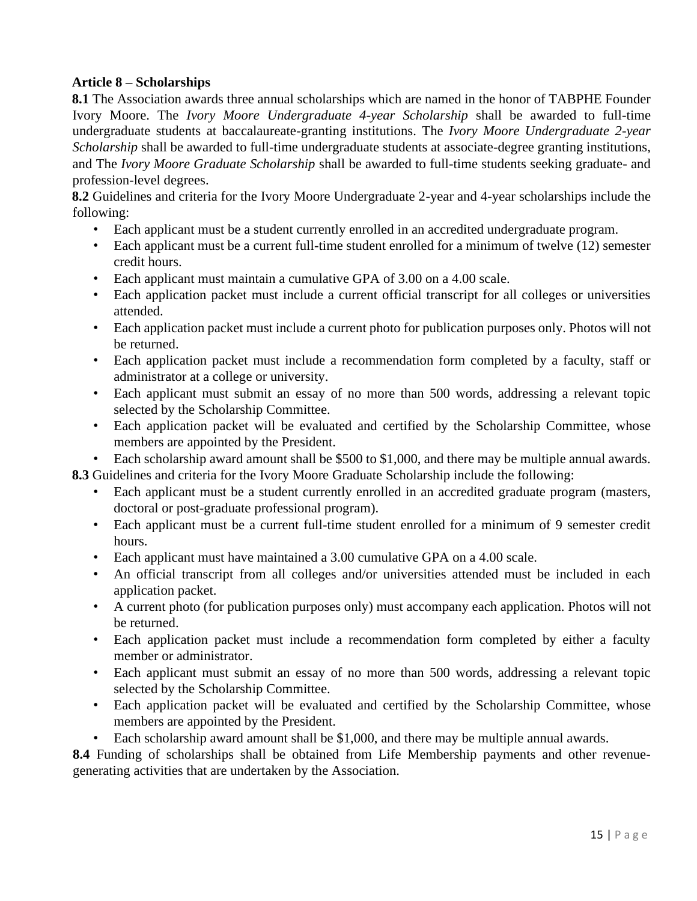# **Article 8 – Scholarships**

**8.1** The Association awards three annual scholarships which are named in the honor of TABPHE Founder Ivory Moore. The *Ivory Moore Undergraduate 4-year Scholarship* shall be awarded to full-time undergraduate students at baccalaureate-granting institutions. The *Ivory Moore Undergraduate 2-year Scholarship* shall be awarded to full-time undergraduate students at associate-degree granting institutions*,*  and The *Ivory Moore Graduate Scholarship* shall be awarded to full-time students seeking graduate- and profession-level degrees.

**8.2** Guidelines and criteria for the Ivory Moore Undergraduate 2-year and 4-year scholarships include the following:

- Each applicant must be a student currently enrolled in an accredited undergraduate program.
- Each applicant must be a current full-time student enrolled for a minimum of twelve (12) semester credit hours.
- Each applicant must maintain a cumulative GPA of 3.00 on a 4.00 scale.
- Each application packet must include a current official transcript for all colleges or universities attended.
- Each application packet must include a current photo for publication purposes only. Photos will not be returned.
- Each application packet must include a recommendation form completed by a faculty, staff or administrator at a college or university.
- Each applicant must submit an essay of no more than 500 words, addressing a relevant topic selected by the Scholarship Committee.
- Each application packet will be evaluated and certified by the Scholarship Committee, whose members are appointed by the President.
- Each scholarship award amount shall be \$500 to \$1,000, and there may be multiple annual awards.

**8.3** Guidelines and criteria for the Ivory Moore Graduate Scholarship include the following:

- Each applicant must be a student currently enrolled in an accredited graduate program (masters, doctoral or post-graduate professional program).
- Each applicant must be a current full-time student enrolled for a minimum of 9 semester credit hours.
- Each applicant must have maintained a 3.00 cumulative GPA on a 4.00 scale.
- An official transcript from all colleges and/or universities attended must be included in each application packet.
- A current photo (for publication purposes only) must accompany each application. Photos will not be returned.
- Each application packet must include a recommendation form completed by either a faculty member or administrator.
- Each applicant must submit an essay of no more than 500 words, addressing a relevant topic selected by the Scholarship Committee.
- Each application packet will be evaluated and certified by the Scholarship Committee, whose members are appointed by the President.
- Each scholarship award amount shall be \$1,000, and there may be multiple annual awards.

**8.4** Funding of scholarships shall be obtained from Life Membership payments and other revenuegenerating activities that are undertaken by the Association.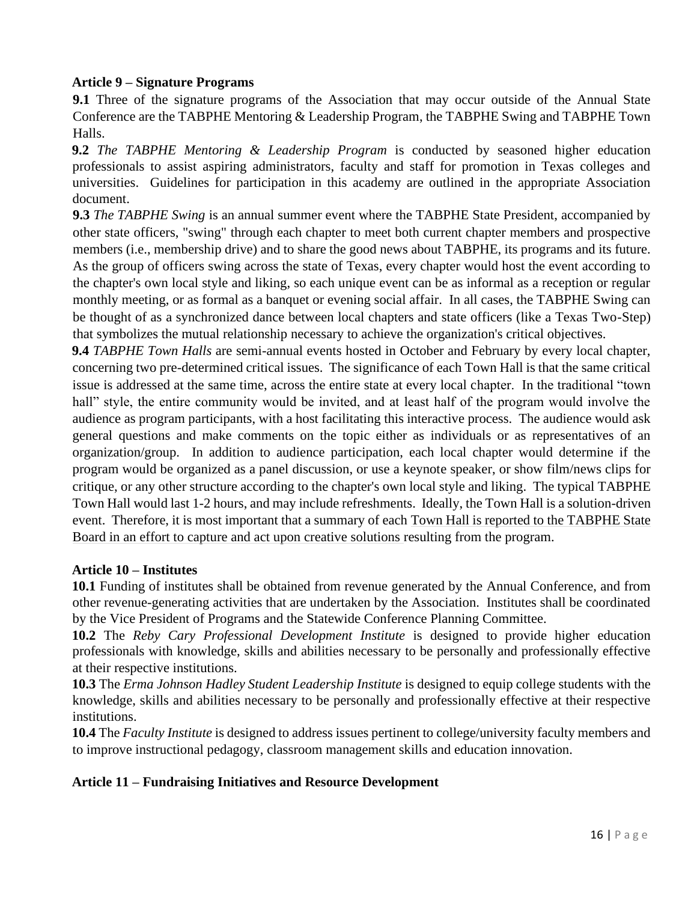#### **Article 9 – Signature Programs**

**9.1** Three of the signature programs of the Association that may occur outside of the Annual State Conference are the TABPHE Mentoring & Leadership Program, the TABPHE Swing and TABPHE Town Halls.

**9.2** *The TABPHE Mentoring & Leadership Program* is conducted by seasoned higher education professionals to assist aspiring administrators, faculty and staff for promotion in Texas colleges and universities. Guidelines for participation in this academy are outlined in the appropriate Association document.

**9.3** *The TABPHE Swing* is an annual summer event where the TABPHE State President, accompanied by other state officers, "swing" through each chapter to meet both current chapter members and prospective members (i.e., membership drive) and to share the good news about TABPHE, its programs and its future. As the group of officers swing across the state of Texas, every chapter would host the event according to the chapter's own local style and liking, so each unique event can be as informal as a reception or regular monthly meeting, or as formal as a banquet or evening social affair. In all cases, the TABPHE Swing can be thought of as a synchronized dance between local chapters and state officers (like a Texas Two-Step) that symbolizes the mutual relationship necessary to achieve the organization's critical objectives.

**9.4** *TABPHE Town Halls* are semi-annual events hosted in October and February by every local chapter, concerning two pre-determined critical issues. The significance of each Town Hall is that the same critical issue is addressed at the same time, across the entire state at every local chapter. In the traditional "town hall" style, the entire community would be invited, and at least half of the program would involve the audience as program participants, with a host facilitating this interactive process. The audience would ask general questions and make comments on the topic either as individuals or as representatives of an organization/group. In addition to audience participation, each local chapter would determine if the program would be organized as a panel discussion, or use a keynote speaker, or show film/news clips for critique, or any other structure according to the chapter's own local style and liking. The typical TABPHE Town Hall would last 1-2 hours, and may include refreshments. Ideally, the Town Hall is a solution-driven event. Therefore, it is most important that a summary of each Town Hall is reported to the TABPHE State Board in an effort to capture and act upon creative solutions resulting from the program.

#### **Article 10 – Institutes**

**10.1** Funding of institutes shall be obtained from revenue generated by the Annual Conference, and from other revenue-generating activities that are undertaken by the Association. Institutes shall be coordinated by the Vice President of Programs and the Statewide Conference Planning Committee.

**10.2** The *Reby Cary Professional Development Institute* is designed to provide higher education professionals with knowledge, skills and abilities necessary to be personally and professionally effective at their respective institutions.

**10.3** The *Erma Johnson Hadley Student Leadership Institute* is designed to equip college students with the knowledge, skills and abilities necessary to be personally and professionally effective at their respective institutions.

**10.4** The *Faculty Institute* is designed to address issues pertinent to college/university faculty members and to improve instructional pedagogy, classroom management skills and education innovation.

# **Article 11 – Fundraising Initiatives and Resource Development**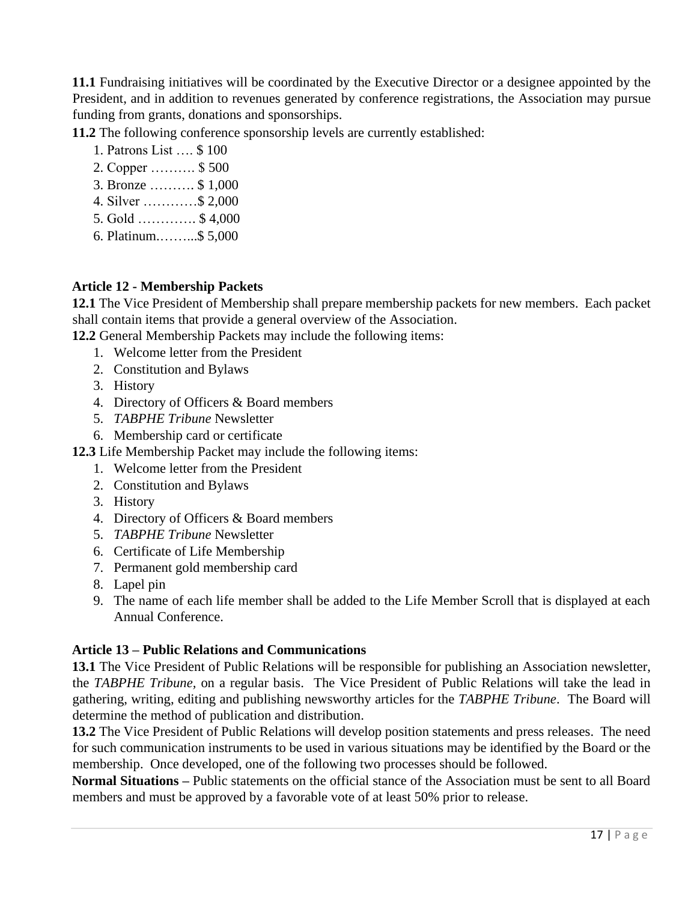**11.1** Fundraising initiatives will be coordinated by the Executive Director or a designee appointed by the President, and in addition to revenues generated by conference registrations, the Association may pursue funding from grants, donations and sponsorships.

**11.2** The following conference sponsorship levels are currently established:

- 1. Patrons List …. \$ 100
- 2. Copper ………. \$ 500
- 3. Bronze ………. \$ 1,000
- 4. Silver …………\$ 2,000
- 5. Gold …………. \$ 4,000
- 6. Platinum.……...\$ 5,000

# **Article 12 - Membership Packets**

**12.1** The Vice President of Membership shall prepare membership packets for new members. Each packet shall contain items that provide a general overview of the Association.

**12.2** General Membership Packets may include the following items:

- 1. Welcome letter from the President
- 2. Constitution and Bylaws
- 3. History
- 4. Directory of Officers & Board members
- 5. *TABPHE Tribune* Newsletter
- 6. Membership card or certificate
- **12.3** Life Membership Packet may include the following items:
	- 1. Welcome letter from the President
	- 2. Constitution and Bylaws
	- 3. History
	- 4. Directory of Officers & Board members
	- 5. *TABPHE Tribune* Newsletter
	- 6. Certificate of Life Membership
	- 7. Permanent gold membership card
	- 8. Lapel pin
	- 9. The name of each life member shall be added to the Life Member Scroll that is displayed at each Annual Conference.

# **Article 13 – Public Relations and Communications**

**13.1** The Vice President of Public Relations will be responsible for publishing an Association newsletter, the *TABPHE Tribune,* on a regular basis. The Vice President of Public Relations will take the lead in gathering, writing, editing and publishing newsworthy articles for the *TABPHE Tribune*. The Board will determine the method of publication and distribution.

**13.2** The Vice President of Public Relations will develop position statements and press releases. The need for such communication instruments to be used in various situations may be identified by the Board or the membership. Once developed, one of the following two processes should be followed.

**Normal Situations –** Public statements on the official stance of the Association must be sent to all Board members and must be approved by a favorable vote of at least 50% prior to release.